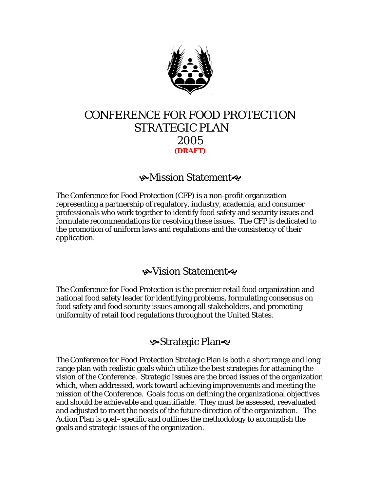

# CONFERENCE FOR FOOD PROTECTION STRATEGIC PLAN 2005 **(DRAFT)**

## **9**Mission Statement

The Conference for Food Protection (CFP) is a non-profit organization representing a partnership of regulatory, industry, academia, and consumer professionals who work together to identify food safety and security issues and formulate recommendations for resolving these issues. The CFP is dedicated to the promotion of uniform laws and regulations and the consistency of their application.

## s Vision Statement <€

The Conference for Food Protection is the premier retail food organization and national food safety leader for identifying problems, formulating consensus on food safety and food security issues among all stakeholders, and promoting uniformity of retail food regulations throughout the United States.

# **Strategic Plan**

The Conference for Food Protection Strategic Plan is both a short range and long range plan with realistic goals which utilize the best strategies for attaining the vision of the Conference. Strategic Issues are the broad issues of the organization which, when addressed, work toward achieving improvements and meeting the mission of the Conference. Goals focus on defining the organizational objectives and should be achievable and quantifiable. They must be assessed, reevaluated and adjusted to meet the needs of the future direction of the organization. The Action Plan is goal–specific and outlines the methodology to accomplish the goals and strategic issues of the organization.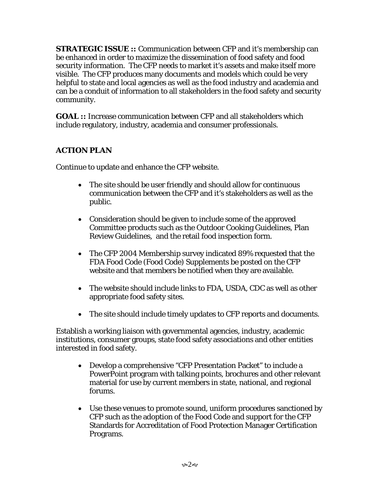**STRATEGIC ISSUE ::** Communication between CFP and it's membership can be enhanced in order to maximize the dissemination of food safety and food security information. The CFP needs to market it's assets and make itself more visible. The CFP produces many documents and models which could be very helpful to state and local agencies as well as the food industry and academia and can be a conduit of information to all stakeholders in the food safety and security community.

**GOAL ::** Increase communication between CFP and all stakeholders which include regulatory, industry, academia and consumer professionals.

### **ACTION PLAN**

Continue to update and enhance the CFP website.

- The site should be user friendly and should allow for continuous communication between the CFP and it's stakeholders as well as the public.
- Consideration should be given to include some of the approved Committee products such as the Outdoor Cooking Guidelines, Plan Review Guidelines, and the retail food inspection form.
- The CFP 2004 Membership survey indicated 89% requested that the FDA Food Code (Food Code) Supplements be posted on the CFP website and that members be notified when they are available.
- The website should include links to FDA, USDA, CDC as well as other appropriate food safety sites.
- The site should include timely updates to CFP reports and documents.

Establish a working liaison with governmental agencies, industry, academic institutions, consumer groups, state food safety associations and other entities interested in food safety.

- Develop a comprehensive "CFP Presentation Packet" to include a PowerPoint program with talking points, brochures and other relevant material for use by current members in state, national, and regional forums.
- Use these venues to promote sound, uniform procedures sanctioned by CFP such as the adoption of the Food Code and support for the CFP Standards for Accreditation of Food Protection Manager Certification Programs.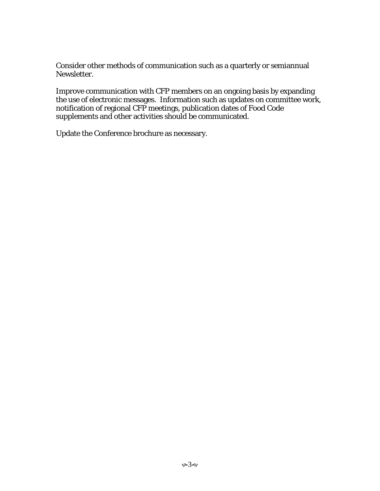Consider other methods of communication such as a quarterly or semiannual Newsletter.

Improve communication with CFP members on an ongoing basis by expanding the use of electronic messages. Information such as updates on committee work, notification of regional CFP meetings, publication dates of Food Code supplements and other activities should be communicated.

Update the Conference brochure as necessary.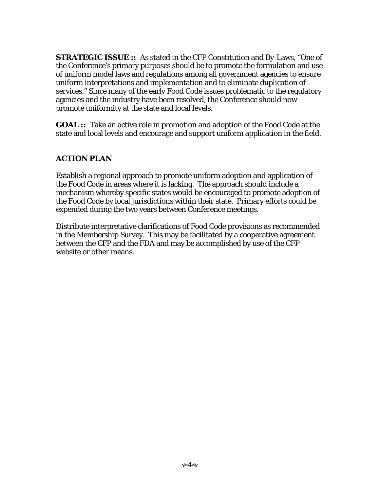**STRATEGIC ISSUE ::** As stated in the CFP Constitution and By-Laws, "One of the Conference's primary purposes should be to promote the formulation and use of uniform model laws and regulations among all government agencies to ensure uniform interpretations and implementation and to eliminate duplication of services." Since many of the early Food Code issues problematic to the regulatory agencies and the industry have been resolved, the Conference should now promote uniformity at the state and local levels.

**GOAL ::** Take an active role in promotion and adoption of the Food Code at the state and local levels and encourage and support uniform application in the field.

#### **ACTION PLAN**

Establish a regional approach to promote uniform adoption and application of the Food Code in areas where it is lacking. The approach should include a mechanism whereby specific states would be encouraged to promote adoption of the Food Code by local jurisdictions within their state. Primary efforts could be expended during the two years between Conference meetings.

Distribute interpretative clarifications of Food Code provisions as recommended in the Membership Survey. This may be facilitated by a cooperative agreement between the CFP and the FDA and may be accomplished by use of the CFP website or other means.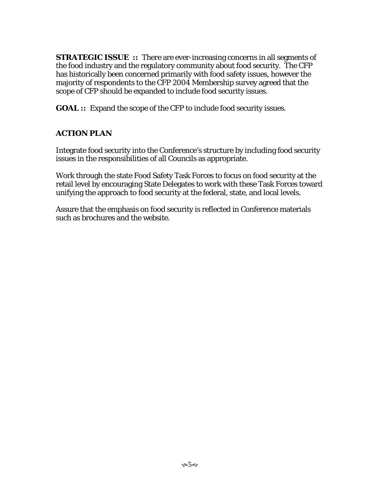**STRATEGIC ISSUE** :: There are ever-increasing concerns in all segments of the food industry and the regulatory community about food security. The CFP has historically been concerned primarily with food safety issues, however the majority of respondents to the CFP 2004 Membership survey agreed that the scope of CFP should be expanded to include food security issues.

**GOAL ::** Expand the scope of the CFP to include food security issues.

### **ACTION PLAN**

Integrate food security into the Conference's structure by including food security issues in the responsibilities of all Councils as appropriate.

Work through the state Food Safety Task Forces to focus on food security at the retail level by encouraging State Delegates to work with these Task Forces toward unifying the approach to food security at the federal, state, and local levels.

Assure that the emphasis on food security is reflected in Conference materials such as brochures and the website.